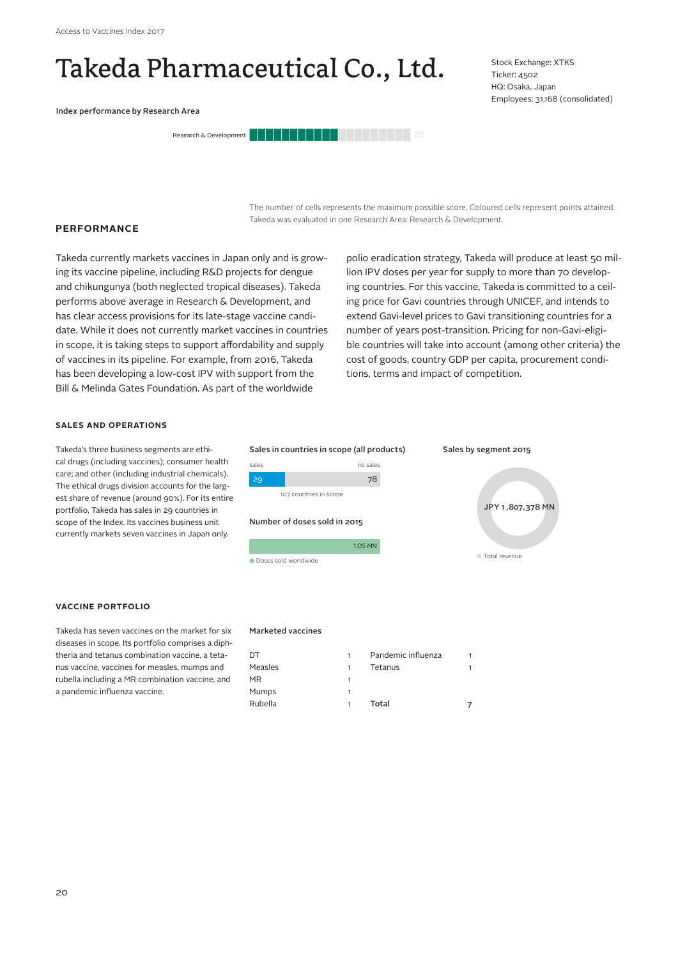**PERFORMANCE**

# Takeda Pharmaceutical Co., Ltd.

Index performance by Research Area



Stock Exchange: XTKS Ticker: 4502 HQ: Osaka, Japan Employees: 31,168 (consolidated)

The number of cells represents the maximum possible score. Coloured cells represent points attained. Takeda was evaluated in one Research Area: Research & Development.

Takeda currently markets vaccines in Japan only and is growing its vaccine pipeline, including R&D projects for dengue and chikungunya (both neglected tropical diseases). Takeda performs above average in Research & Development, and has clear access provisions for its late-stage vaccine candidate. While it does not currently market vaccines in countries in scope, it is taking steps to support affordability and supply of vaccines in its pipeline. For example, from 2016, Takeda has been developing a low-cost IPV with support from the Bill & Melinda Gates Foundation. As part of the worldwide

polio eradication strategy, Takeda will produce at least 50 million IPV doses per year for supply to more than 70 developing countries. For this vaccine, Takeda is committed to a ceiling price for Gavi countries through UNICEF, and intends to extend Gavi-level prices to Gavi transitioning countries for a number of years post-transition. Pricing for non-Gavi-eligible countries will take into account (among other criteria) the cost of goods, country GDP per capita, procurement conditions, terms and impact of competition.

Sales by segment 2015

Total revenue

JPY 1 ,807,378 MN

#### **SALES AND OPERATIONS**

Takeda's three business segments are ethical drugs (including vaccines); consumer health care; and other (including industrial chemicals). The ethical drugs division accounts for the largest share of revenue (around 90%). For its entire portfolio, Takeda has sales in 29 countries in scope of the Index. Its vaccines business unit currently markets seven vaccines in Japan only.

## **VACCINE PORTFOLIO**

Takeda has seven vaccines on the market for six diseases in scope. Its portfolio comprises a diphtheria and tetanus combination vaccine, a tetanus vaccine, vaccines for measles, mumps and rubella including a MR combination vaccine, and a pandemic influenza vaccine.

#### Marketed vaccines

Doses sold worldwide

107 countries in scope

Number of doses sold in 2015

sales no sales 29 78

Sales in countries in scope (all products)

| DT      | 1 | Pandemic influenza |  |
|---------|---|--------------------|--|
| Measles | 1 | Tetanus            |  |
| MR      | 1 |                    |  |
| Mumps   |   |                    |  |
| Rubella | 1 | Total              |  |

1.05 MN